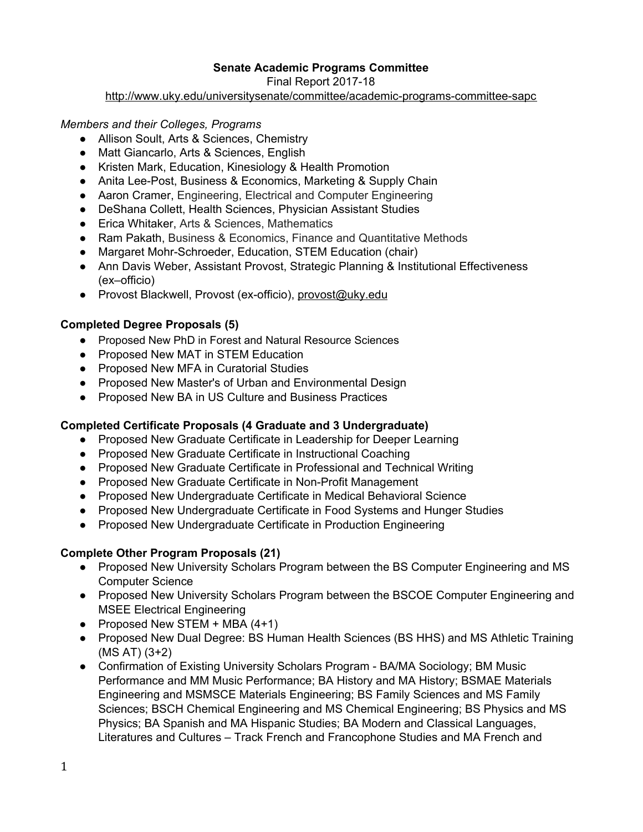### **Senate Academic Programs Committee**

Final Report 2017-18

<http://www.uky.edu/universitysenate/committee/academic-programs-committee-sapc>

#### *Members and their Colleges, Programs*

- Allison Soult, Arts & Sciences, Chemistry
- Matt Giancarlo, Arts & Sciences, English
- Kristen Mark, Education, Kinesiology & Health Promotion
- Anita Lee-Post, Business & Economics, Marketing & Supply Chain
- Aaron Cramer, Engineering, Electrical and Computer Engineering
- DeShana Collett, Health Sciences, Physician Assistant Studies
- Erica Whitaker, Arts & Sciences, Mathematics
- Ram Pakath, Business & Economics, Finance and Quantitative Methods
- Margaret Mohr-Schroeder, Education, STEM Education (chair)
- Ann Davis Weber, Assistant Provost, Strategic Planning & Institutional Effectiveness (ex–officio)
- Provost Blackwell, Provost (ex-officio), [provost@uky.edu](mailto:provost@uky.edu)

### **Completed Degree Proposals (5)**

- Proposed New PhD in Forest and Natural Resource Sciences
- Proposed New MAT in STEM Education
- Proposed New MFA in Curatorial Studies
- Proposed New Master's of Urban and Environmental Design
- Proposed New BA in US Culture and Business Practices

# **Completed Certificate Proposals (4 Graduate and 3 Undergraduate)**

- Proposed New Graduate Certificate in Leadership for Deeper Learning
- Proposed New Graduate Certificate in Instructional Coaching
- Proposed New Graduate Certificate in Professional and Technical Writing
- Proposed New Graduate Certificate in Non-Profit Management
- Proposed New Undergraduate Certificate in Medical Behavioral Science
- Proposed New Undergraduate Certificate in Food Systems and Hunger Studies
- Proposed New Undergraduate Certificate in Production Engineering

# **Complete Other Program Proposals (21)**

- **●** Proposed New University Scholars Program between the BS Computer Engineering and MS Computer Science
- Proposed New University Scholars Program between the BSCOE Computer Engineering and MSEE Electrical Engineering
- Proposed New STEM  $+$  MBA (4+1)
- Proposed New Dual Degree: BS Human Health Sciences (BS HHS) and MS Athletic Training (MS AT) (3+2)
- Confirmation of Existing University Scholars Program BA/MA Sociology; BM Music Performance and MM Music Performance; BA History and MA History; BSMAE Materials Engineering and MSMSCE Materials Engineering; BS Family Sciences and MS Family Sciences; BSCH Chemical Engineering and MS Chemical Engineering; BS Physics and MS Physics; BA Spanish and MA Hispanic Studies; BA Modern and Classical Languages, Literatures and Cultures – Track French and Francophone Studies and MA French and